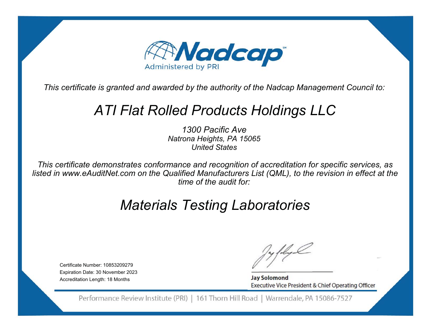

# *ATI Flat Rolled Products Holdings LLC*

*1300 Pacific AveNatrona Heights, PA 15065 United States*

*This certificate demonstrates conformance and recognition of accreditation for specific services, as listed in www.eAuditNet.com on the Qualified Manufacturers List (QML), to the revision in effect at the time of the audit for:*

# *Materials Testing Laboratories*

Certificate Number: 10853209279Expiration Date: 30 November 2023 Accreditation Length: 18 Months

**Jay Solomond** Executive Vice President & Chief Operating Officer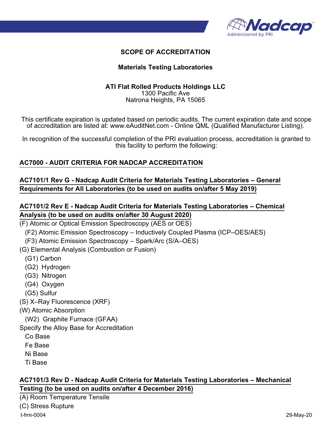

#### **Materials Testing Laboratories**

## **ATI Flat Rolled Products Holdings LLC**

1300 Pacific Ave Natrona Heights, PA 15065

This certificate expiration is updated based on periodic audits. The current expiration date and scope of accreditation are listed at: www.eAuditNet.com - Online QML (Qualified Manufacturer Listing).

In recognition of the successful completion of the PRI evaluation process, accreditation is granted to this facility to perform the following:

### **AC7000 - AUDIT CRITERIA FOR NADCAP ACCREDITATION**

### **AC7101/1 Rev G - Nadcap Audit Criteria for Materials Testing Laboratories – General Requirements for All Laboratories (to be used on audits on/after 5 May 2019)**

## **AC7101/2 Rev E - Nadcap Audit Criteria for Materials Testing Laboratories – Chemical Analysis (to be used on audits on/after 30 August 2020)**

- (F) Atomic or Optical Emission Spectroscopy (AES or OES)
	- (F2) Atomic Emission Spectroscopy Inductively Coupled Plasma (ICP–OES/AES)
	- (F3) Atomic Emission Spectroscopy Spark/Arc (S/A–OES)
- (G) Elemental Analysis (Combustion or Fusion)
	- (G1) Carbon
	- (G2) Hydrogen
	- (G3) Nitrogen
	- (G4) Oxygen
	- (G5) Sulfur
- (S) X–Ray Fluorescence (XRF)
- (W) Atomic Absorption
	- (W2) Graphite Furnace (GFAA)
- Specify the Alloy Base for Accreditation
	- Co Base
	- Fe Base
	- Ni Base
	- Ti Base

### **AC7101/3 Rev D - Nadcap Audit Criteria for Materials Testing Laboratories – Mechanical Testing (to be used on audits on/after 4 December 2016)**

(A) Room Temperature Tensile (C) Stress Rupture t-frm-0004 29-May-20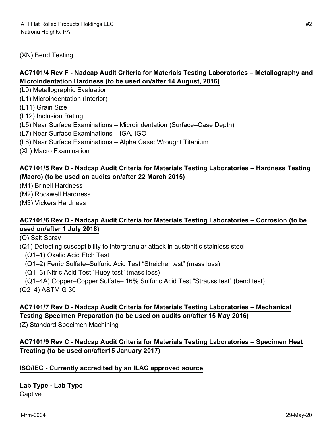## (XN) Bend Testing

# **AC7101/4 Rev F - Nadcap Audit Criteria for Materials Testing Laboratories – Metallography and Microindentation Hardness (to be used on/after 14 August, 2016)**

(L0) Metallographic Evaluation

(L1) Microindentation (Interior)

(L11) Grain Size

(L12) Inclusion Rating

(L5) Near Surface Examinations – Microindentation (Surface–Case Depth)

(L7) Near Surface Examinations – IGA, IGO

(L8) Near Surface Examinations – Alpha Case: Wrought Titanium

(XL) Macro Examination

## **AC7101/5 Rev D - Nadcap Audit Criteria for Materials Testing Laboratories – Hardness Testing (Macro) (to be used on audits on/after 22 March 2015)**

(M1) Brinell Hardness

(M2) Rockwell Hardness

(M3) Vickers Hardness

### **AC7101/6 Rev D - Nadcap Audit Criteria for Materials Testing Laboratories – Corrosion (to be used on/after 1 July 2018)**

(Q) Salt Spray

(Q1) Detecting susceptibility to intergranular attack in austenitic stainless steel

(Q1–1) Oxalic Acid Etch Test

(Q1–2) Ferric Sulfate–Sulfuric Acid Test "Streicher test" (mass loss)

(Q1–3) Nitric Acid Test "Huey test" (mass loss)

(Q1–4A) Copper–Copper Sulfate– 16% Sulfuric Acid Test "Strauss test" (bend test)

(Q2–4) ASTM G 30

## **AC7101/7 Rev D - Nadcap Audit Criteria for Materials Testing Laboratories – Mechanical Testing Specimen Preparation (to be used on audits on/after 15 May 2016)**

(Z) Standard Specimen Machining

# **AC7101/9 Rev C - Nadcap Audit Criteria for Materials Testing Laboratories – Specimen Heat Treating (to be used on/after15 January 2017)**

#### **ISO/IEC - Currently accredited by an ILAC approved source**

#### **Lab Type - Lab Type**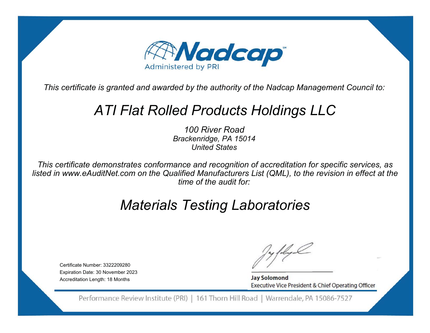

# *ATI Flat Rolled Products Holdings LLC*

*100 River RoadBrackenridge, PA 15014 United States*

*This certificate demonstrates conformance and recognition of accreditation for specific services, as listed in www.eAuditNet.com on the Qualified Manufacturers List (QML), to the revision in effect at the time of the audit for:*

# *Materials Testing Laboratories*

Certificate Number: 3322209280Expiration Date: 30 November 2023 Accreditation Length: 18 Months

**Jay Solomond** Executive Vice President & Chief Operating Officer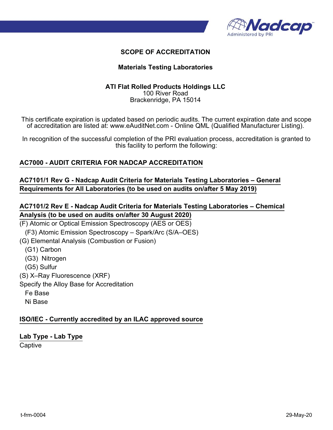

#### **Materials Testing Laboratories**

#### **ATI Flat Rolled Products Holdings LLC** 100 River Road Brackenridge, PA 15014

This certificate expiration is updated based on periodic audits. The current expiration date and scope of accreditation are listed at: www.eAuditNet.com - Online QML (Qualified Manufacturer Listing).

In recognition of the successful completion of the PRI evaluation process, accreditation is granted to this facility to perform the following:

### **AC7000 - AUDIT CRITERIA FOR NADCAP ACCREDITATION**

**AC7101/1 Rev G - Nadcap Audit Criteria for Materials Testing Laboratories – General Requirements for All Laboratories (to be used on audits on/after 5 May 2019)**

## **AC7101/2 Rev E - Nadcap Audit Criteria for Materials Testing Laboratories – Chemical Analysis (to be used on audits on/after 30 August 2020)**

(F) Atomic or Optical Emission Spectroscopy (AES or OES) (F3) Atomic Emission Spectroscopy – Spark/Arc (S/A–OES) (G) Elemental Analysis (Combustion or Fusion) (G1) Carbon (G3) Nitrogen (G5) Sulfur (S) X–Ray Fluorescence (XRF) Specify the Alloy Base for Accreditation Fe Base Ni Base

#### **ISO/IEC - Currently accredited by an ILAC approved source**

# **Lab Type - Lab Type**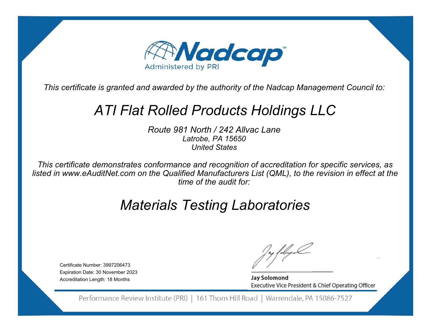

# *ATI Flat Rolled Products Holdings LLC*

*Route 981 North / 242 Allvac LaneLatrobe, PA 15650 United States*

*This certificate demonstrates conformance and recognition of accreditation for specific services, as listed in www.eAuditNet.com on the Qualified Manufacturers List (QML), to the revision in effect at the time of the audit for:*

# *Materials Testing Laboratories*

Certificate Number: 3997206473Expiration Date: 30 November 2023 Accreditation Length: 18 Months

**Jay Solomond** Executive Vice President & Chief Operating Officer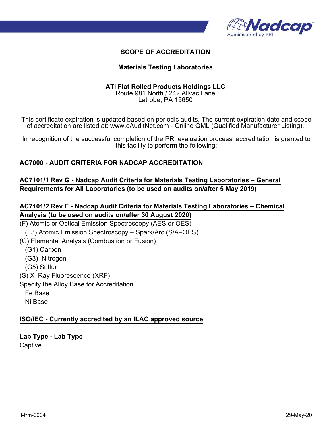

#### **Materials Testing Laboratories**

#### **ATI Flat Rolled Products Holdings LLC**

Route 981 North / 242 Allvac Lane Latrobe, PA 15650

This certificate expiration is updated based on periodic audits. The current expiration date and scope of accreditation are listed at: www.eAuditNet.com - Online QML (Qualified Manufacturer Listing).

In recognition of the successful completion of the PRI evaluation process, accreditation is granted to this facility to perform the following:

### **AC7000 - AUDIT CRITERIA FOR NADCAP ACCREDITATION**

**AC7101/1 Rev G - Nadcap Audit Criteria for Materials Testing Laboratories – General Requirements for All Laboratories (to be used on audits on/after 5 May 2019)**

## **AC7101/2 Rev E - Nadcap Audit Criteria for Materials Testing Laboratories – Chemical Analysis (to be used on audits on/after 30 August 2020)**

(F) Atomic or Optical Emission Spectroscopy (AES or OES) (F3) Atomic Emission Spectroscopy – Spark/Arc (S/A–OES) (G) Elemental Analysis (Combustion or Fusion) (G1) Carbon (G3) Nitrogen (G5) Sulfur (S) X–Ray Fluorescence (XRF) Specify the Alloy Base for Accreditation Fe Base Ni Base

#### **ISO/IEC - Currently accredited by an ILAC approved source**

# **Lab Type - Lab Type**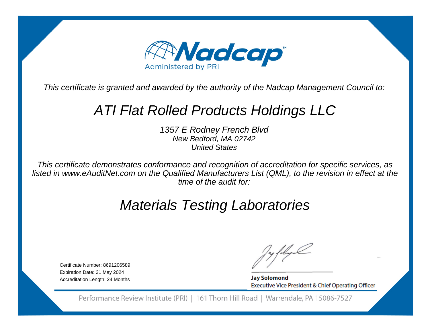

# ATI Flat Rolled Products Holdings LLC

1357 E Rodney French BlvdNew Bedford, MA 02742United States

This certificate demonstrates conformance and recognition of accreditation for specific services, as listed in www.eAuditNet.com on the Qualified Manufacturers List (QML), to the revision in effect at thetime of the audit for:

# Materials Testing Laboratories

Certificate Number: 8691206589Expiration Date: 31 May 2024Accreditation Length: 24 Months

**Jay Solomond** Executive Vice President & Chief Operating Officer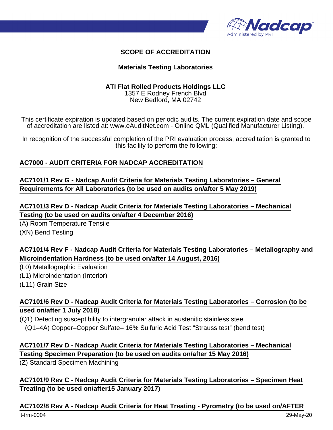

#### **Materials Testing Laboratories**

#### **ATI Flat Rolled Products Holdings LLC**

1357 E Rodney French Blvd New Bedford, MA 02742

This certificate expiration is updated based on periodic audits. The current expiration date and scope of accreditation are listed at: www.eAuditNet.com - Online QML (Qualified Manufacturer Listing).

In recognition of the successful completion of the PRI evaluation process, accreditation is granted to this facility to perform the following:

### **AC7000 - AUDIT CRITERIA FOR NADCAP ACCREDITATION**

**AC7101/1 Rev G - Nadcap Audit Criteria for Materials Testing Laboratories – General Requirements for All Laboratories (to be used on audits on/after 5 May 2019)**

**AC7101/3 Rev D - Nadcap Audit Criteria for Materials Testing Laboratories – Mechanical Testing (to be used on audits on/after 4 December 2016)**

(A) Room Temperature Tensile (XN) Bend Testing

## **AC7101/4 Rev F - Nadcap Audit Criteria for Materials Testing Laboratories – Metallography and Microindentation Hardness (to be used on/after 14 August, 2016)**

(L0) Metallographic Evaluation

(L1) Microindentation (Interior)

(L11) Grain Size

## **AC7101/6 Rev D - Nadcap Audit Criteria for Materials Testing Laboratories – Corrosion (to be used on/after 1 July 2018)**

(Q1) Detecting susceptibility to intergranular attack in austenitic stainless steel (Q1–4A) Copper–Copper Sulfate– 16% Sulfuric Acid Test "Strauss test" (bend test)

## **AC7101/7 Rev D - Nadcap Audit Criteria for Materials Testing Laboratories – Mechanical Testing Specimen Preparation (to be used on audits on/after 15 May 2016)**

(Z) Standard Specimen Machining

## **AC7101/9 Rev C - Nadcap Audit Criteria for Materials Testing Laboratories – Specimen Heat Treating (to be used on/after15 January 2017)**

#### **AC7102/8 Rev A - Nadcap Audit Criteria for Heat Treating - Pyrometry (to be used on/AFTER**